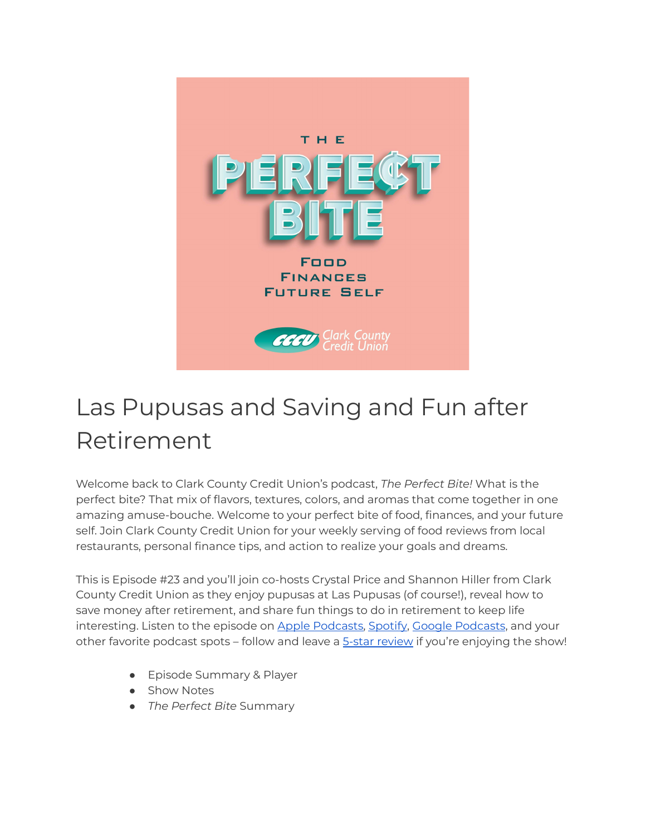

# Las Pupusas and Saving and Fun after Retirement

Welcome back to Clark County Credit Union's podcast, *The Perfect Bite!* What is the perfect bite? That mix of flavors, textures, colors, and aromas that come together in one amazing amuse-bouche. Welcome to your perfect bite of food, finances, and your future self. Join Clark County Credit Union for your weekly serving of food reviews from local restaurants, personal finance tips, and action to realize your goals and dreams.

This is Episode #23 and you'll join co-hosts Crystal Price and Shannon Hiller from Clark County Credit Union as they enjoy pupusas at Las Pupusas (of course!), reveal how to save money after retirement, and share fun things to do in retirement to keep life interesting. Listen to the episode on Apple [Podcasts,](https://podcasts.apple.com/us/podcast/the-perfect-bite/id1604656448) [Spotify](https://open.spotify.com/show/7tNPJZBNHabGWEFmjnHaxR?si=a0a7808911264628), Google [Podcasts](https://podcasts.google.com/feed/aHR0cHM6Ly9wZXJmZWN0Yml0ZS5saWJzeW4uY29tL3Jzcw?sa=X&ved=0CAMQ4aUDahcKEwi47ZHlgPP1AhUAAAAAHQAAAAAQRA), and your other favorite podcast spots – follow and leave a 5-star [review](https://podcasts.apple.com/us/podcast/the-perfect-bite/id1604656448) if you're enjoying the show!

- Episode Summary & Player
- Show Notes
- *The Perfect Bite* Summary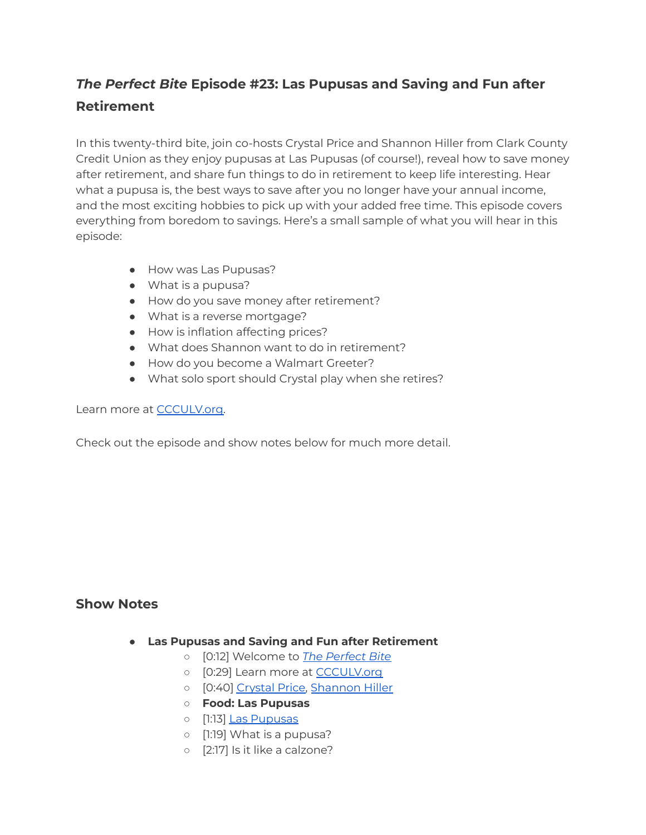# *The Perfect Bite* **Episode #23: Las Pupusas and Saving and Fun after Retirement**

In this twenty-third bite, join co-hosts Crystal Price and Shannon Hiller from Clark County Credit Union as they enjoy pupusas at Las Pupusas (of course!), reveal how to save money after retirement, and share fun things to do in retirement to keep life interesting. Hear what a pupusa is, the best ways to save after you no longer have your annual income, and the most exciting hobbies to pick up with your added free time. This episode covers everything from boredom to savings. Here's a small sample of what you will hear in this episode:

- How was Las Pupusas?
- What is a pupusa?
- How do you save money after retirement?
- What is a reverse mortgage?
- How is inflation affecting prices?
- What does Shannon want to do in retirement?
- How do you become a Walmart Greeter?
- What solo sport should Crystal play when she retires?

#### Learn more at [CCCULV.org.](https://www.ccculv.org/)

Check out the episode and show notes below for much more detail.

## **Show Notes**

- **Las Pupusas and Saving and Fun after Retirement**
	- [0:12] Welcome to *[The Perfect Bite](https://www.ccculv.org/)*
	- o [0:29] Learn more at [CCCULV.org](https://www.ccculv.org/)
	- [0:40] [Crystal Price,](https://www.ccculv.org/Our-Mission.aspx) [Shannon Hiller](https://www.ccculv.org/Our-Mission.aspx)
	- **○ Food: Las Pupusas**
	- o [1:13] [Las Pupusas](https://laspupusasrestaurant.com/)
	- [1:19] What is a pupusa?
	- [2:17] Is it like a calzone?